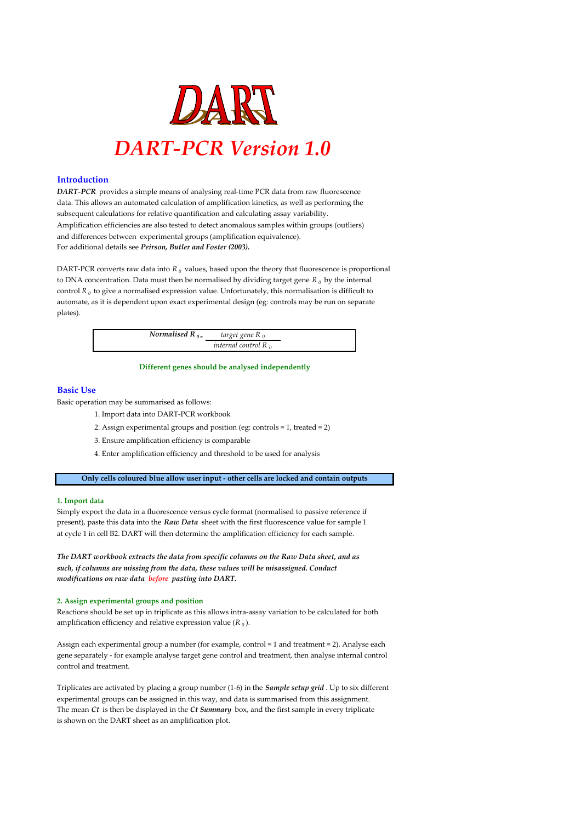

#### **Introduction**

*DART-PCR* provides a simple means of analysing real-time PCR data from raw fluorescence data. This allows an automated calculation of amplification kinetics, as well as performing the subsequent calculations for relative quantification and calculating assay variability. Amplification efficiencies are also tested to detect anomalous samples within groups (outliers) and differences between experimental groups (amplification equivalence). For additional details see *Peirson, Butler and Foster (2003).*

DART-PCR converts raw data into  $R_0$  values, based upon the theory that fluorescence is proportional to DNA concentration. Data must then be normalised by dividing target gene *R <sup>0</sup>* by the internal control  $R_{\theta}$  to give a normalised expression value. Unfortunately, this normalisation is difficult to automate, as it is dependent upon exact experimental design (eg: controls may be run on separate plates).

| Normalised $R_{0}$ | target gene R <sub>0</sub> |
|--------------------|----------------------------|
|                    | internal control $R_0$     |

#### **Different genes should be analysed independently**

#### **Basic Use**

Basic operation may be summarised as follows:

- 1. Import data into DART-PCR workbook
- 2. Assign experimental groups and position (eg: controls = 1, treated = 2)
- 3. Ensure amplification efficiency is comparable
- 4. Enter amplification efficiency and threshold to be used for analysis

**Only cells coloured blue allow user input - other cells are locked and contain outputs**

#### **1. Import data**

Simply export the data in a fluorescence versus cycle format (normalised to passive reference if present), paste this data into the *Raw Data* sheet with the first fluorescence value for sample 1 at cycle 1 in cell B2. DART will then determine the amplification efficiency for each sample.

*The DART workbook extracts the data from specific columns on the Raw Data sheet, and as such, if columns are missing from the data, these values will be misassigned. Conduct modifications on raw data before pasting into DART.*

#### **2. Assign experimental groups and position**

Reactions should be set up in triplicate as this allows intra-assay variation to be calculated for both amplification efficiency and relative expression value  $(R_0)$ .

Assign each experimental group a number (for example, control = 1 and treatment = 2). Analyse each gene separately - for example analyse target gene control and treatment, then analyse internal control control and treatment.

Triplicates are activated by placing a group number (1-6) in the *Sample setup grid* . Up to six different experimental groups can be assigned in this way, and data is summarised from this assignment. The mean *Ct* is then be displayed in the *Ct Summary* box, and the first sample in every triplicate is shown on the DART sheet as an amplification plot.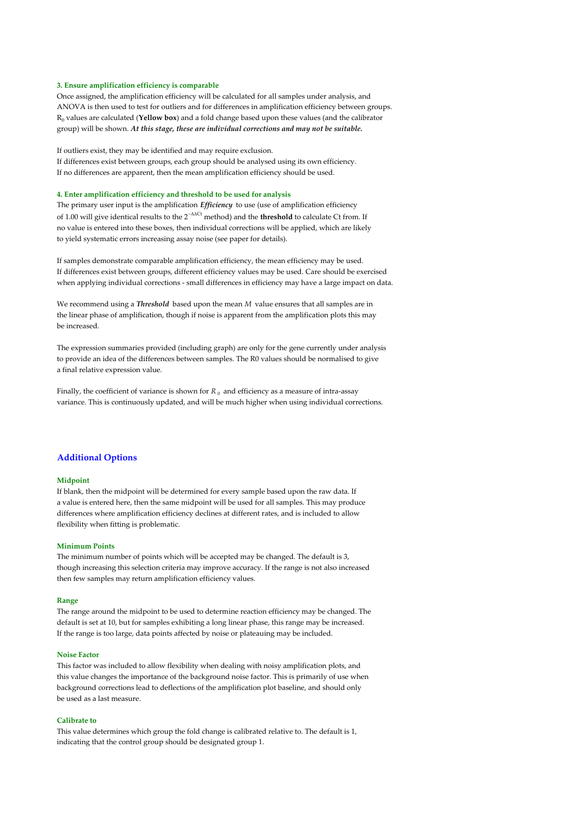#### **3. Ensure amplification efficiency is comparable**

Once assigned, the amplification efficiency will be calculated for all samples under analysis, and ANOVA is then used to test for outliers and for differences in amplification efficiency between groups. R0 values are calculated (**Yellow box**) and a fold change based upon these values (and the calibrator group) will be shown. *At this stage, these are individual corrections and may not be suitable.*

#### If outliers exist, they may be identified and may require exclusion.

If differences exist between groups, each group should be analysed using its own efficiency. If no differences are apparent, then the mean amplification efficiency should be used.

#### **4. Enter amplification efficiency and threshold to be used for analysis**

The primary user input is the amplification *Efficiency* to use (use of amplification efficiency of 1.00 will give identical results to the 2−∆∆Ct method) and the **threshold** to calculate Ct from. If no value is entered into these boxes, then individual corrections will be applied, which are likely to yield systematic errors increasing assay noise (see paper for details).

If samples demonstrate comparable amplification efficiency, the mean efficiency may be used. If differences exist between groups, different efficiency values may be used. Care should be exercised when applying individual corrections - small differences in efficiency may have a large impact on data.

We recommend using a *Threshold* based upon the mean *M* value ensures that all samples are in the linear phase of amplification, though if noise is apparent from the amplification plots this may be increased.

The expression summaries provided (including graph) are only for the gene currently under analysis to provide an idea of the differences between samples. The R0 values should be normalised to give a final relative expression value.

Finally, the coefficient of variance is shown for  $R_{\theta}$  and efficiency as a measure of intra-assay variance. This is continuously updated, and will be much higher when using individual corrections.

#### **Additional Options**

#### **Midpoint**

If blank, then the midpoint will be determined for every sample based upon the raw data. If a value is entered here, then the same midpoint will be used for all samples. This may produce differences where amplification efficiency declines at different rates, and is included to allow flexibility when fitting is problematic.

#### **Minimum Points**

The minimum number of points which will be accepted may be changed. The default is 3, though increasing this selection criteria may improve accuracy. If the range is not also increased then few samples may return amplification efficiency values.

#### **Range**

The range around the midpoint to be used to determine reaction efficiency may be changed. The default is set at 10, but for samples exhibiting a long linear phase, this range may be increased. If the range is too large, data points affected by noise or plateauing may be included.

#### **Noise Factor**

This factor was included to allow flexibility when dealing with noisy amplification plots, and this value changes the importance of the background noise factor. This is primarily of use when background corrections lead to deflections of the amplification plot baseline, and should only be used as a last measure.

#### **Calibrate to**

This value determines which group the fold change is calibrated relative to. The default is 1, indicating that the control group should be designated group 1.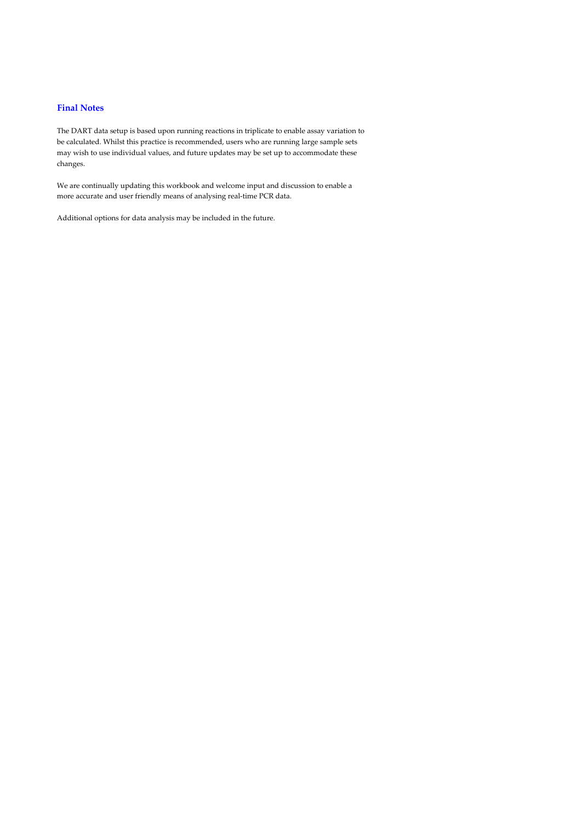### **Final Notes**

The DART data setup is based upon running reactions in triplicate to enable assay variation to be calculated. Whilst this practice is recommended, users who are running large sample sets may wish to use individual values, and future updates may be set up to accommodate these changes.

We are continually updating this workbook and welcome input and discussion to enable a more accurate and user friendly means of analysing real-time PCR data.

Additional options for data analysis may be included in the future.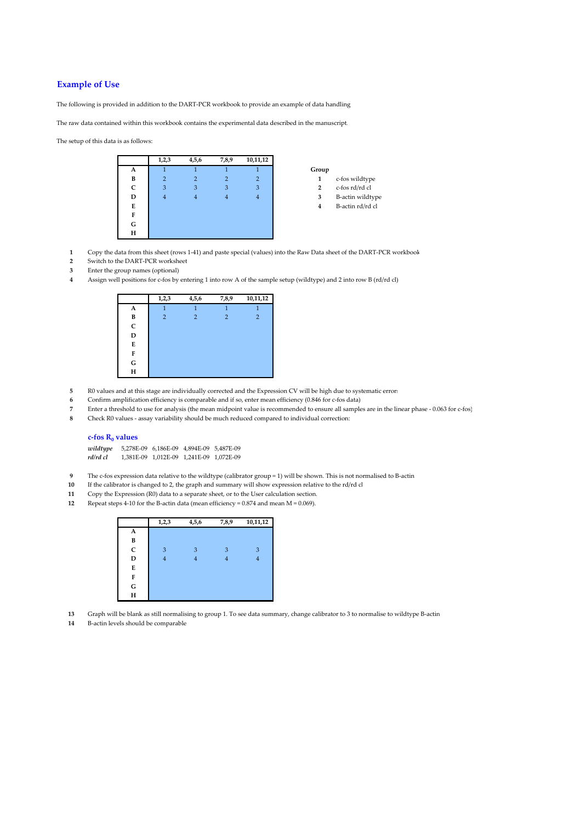### **Example of Use**

The following is provided in addition to the DART-PCR workbook to provide an example of data handling

The raw data contained within this workbook contains the experimental data described in the manuscript.

The setup of this data is as follows:



- **1** Copy the data from this sheet (rows 1-41) and paste special (values) into the Raw Data sheet of the DART-PCR workbook
- **2** Switch to the DART-PCR worksheet
- **3** Enter the group names (optional)
- **4** Assign well positions for c-fos by entering 1 into row A of the sample setup (wildtype) and 2 into row B (rd/rd cl)



- **5** R0 values and at this stage are individually corrected and the Expression CV will be high due to systematic errors **6** Confirm amplification efficiency is comparable and if so, enter mean efficiency (0.846 for c-fos da
- **6** Confirm amplification efficiency is comparable and if so, enter mean efficiency (0.846 for c-fos data)
- **7** Enter a threshold to use for analysis (the mean midpoint value is recommended to ensure all samples are in the linear phase 0.063 for c-fos)
- **8** Check R0 values assay variability should be much reduced compared to individual correction:

#### c-fos R<sub>0</sub> values

*wildtype* 5,278E-09 6,186E-09 4,894E-09 5,487E-09 *rd/rd cl* 1,381E-09 1,012E-09 1,241E-09 1,072E-09

- **9** The c-fos expression data relative to the wildtype (calibrator group = 1) will be shown. This is not normalised to B-actin<br>**10** If the calibrator is changed to 2, the graph and summary will show expression relative to
- **10** If the calibrator is changed to 2, the graph and summary will show expression relative to the rd/rd cl
- **11** Copy the Expression (R0) data to a separate sheet, or to the User calculation section.
- **12** Repeat steps 4-10 for the B-actin data (mean efficiency = 0.874 and mean M = 0.069).

|               | 1,2,3 | 4,5,6 | 7,8,9 | 10,11,12 |
|---------------|-------|-------|-------|----------|
| A             |       |       |       |          |
|               |       |       |       |          |
| $\frac{B}{C}$ | 3     | 3     | 3     | 3        |
| D             |       | 4     | 4     | 4        |
| E             |       |       |       |          |
|               |       |       |       |          |
| $\frac{F}{G}$ |       |       |       |          |
| H             |       |       |       |          |

- **13** Graph will be blank as still normalising to group 1. To see data summary, change calibrator to 3 to normalise to wildtype B-actin
- **14** B-actin levels should be comparable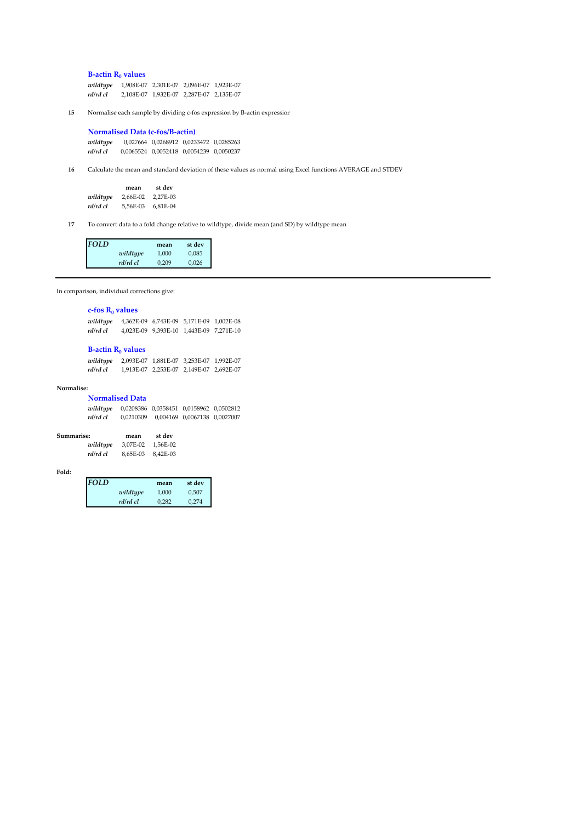**B-actin R<sub>0</sub> values** 

*wildtype* 1,908E-07 2,301E-07 2,096E-07 1,923E-07 *rd/rd cl* 2,108E-07 1,932E-07 2,287E-07 2,135E-07

**15** Normalise each sample by dividing c-fos expression by B-actin expression

**Normalised Data (c-fos/B-actin)** *wildtype* 0,027664 0,0268912 0,0233472 0,0285263 *rd/rd cl* 0,0065524 0,0052418 0,0054239 0,0050237

**16** Calculate the mean and standard deviation of these values as normal using Excel functions AVERAGE and STDEV

|          | mean     | st dev   |
|----------|----------|----------|
| wildtype | 2.66E-02 | 2.27E-03 |
| rd/rd cl | 5.56E-03 | 6.81E-04 |

**17** To convert data to a fold change relative to wildtype, divide mean (and SD) by wildtype mean.

| <b>FOLD</b> |          | mean  | st dev |
|-------------|----------|-------|--------|
|             | wildtype | 1.000 | 0.085  |
|             | rd/rd cl | 0.209 | 0.026  |

In comparison, individual corrections give:

#### **c-fos R<sub>0</sub> values**

| wildtype | 4,362E-09 6,743E-09 5,171E-09 1,002E-08 |  |
|----------|-----------------------------------------|--|
| rd/rd cl | 4,023E-09 9,393E-10 1,443E-09 7,271E-10 |  |

### **B-actin R<sub>0</sub> values**

| wildtype | 2,093E-07 1,881E-07 3,253E-07 1,992E-07 |  |
|----------|-----------------------------------------|--|
| rd/rd cl | 1,913E-07 2,253E-07 2,149E-07 2,692E-07 |  |

#### **Normalise:**

| <b>Normalised Data</b> |                                         |                              |  |
|------------------------|-----------------------------------------|------------------------------|--|
| wildtupe               | 0,0208386 0,0358451 0,0158962 0,0502812 |                              |  |
| rd/rd cl               | 0.0210309                               | 0.004169 0.0067138 0.0027007 |  |

| Summarise: | mean              | st dev |
|------------|-------------------|--------|
| wildtype   | 3,07E-02 1,56E-02 |        |
| rd/rd cl   | 8.65E-03 8.42E-03 |        |

#### **Fold:**

| <b>FOLD</b> |          | mean  | st dev |
|-------------|----------|-------|--------|
|             | wildtype | 1.000 | 0.507  |
|             | rd/rd cl | 0.282 | 0.274  |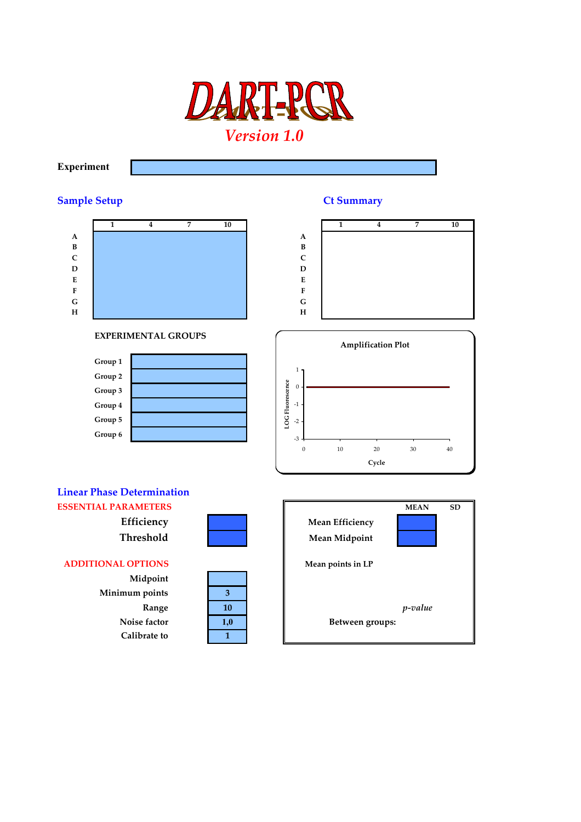

## **Experiment**

# **Sample Setup Ct Summary**



### **EXPERIMENTAL GROUPS**







# **Linear Phase Determination**

**Midpoint Minimum points 3 Calibrate to 1**

| 3   |  |
|-----|--|
| 10  |  |
| 1,0 |  |
|     |  |

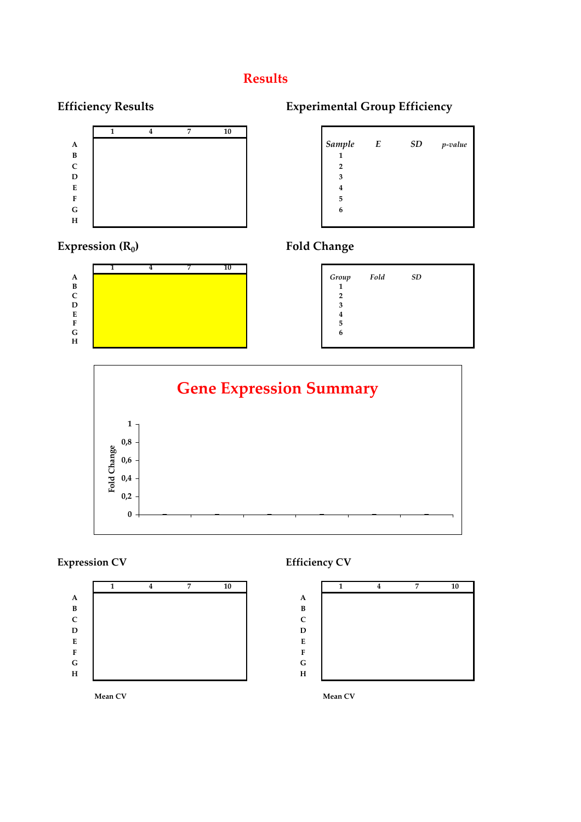# **Results**



# **Expression (R<sub>0</sub>) Fold Change**



# **Efficiency Results Experimental Group Efficiency**

| Sample         | E | <b>SD</b> | p-value |
|----------------|---|-----------|---------|
| $\mathbf{1}$   |   |           |         |
| $\overline{2}$ |   |           |         |
| 3              |   |           |         |
| 4              |   |           |         |
| 5              |   |           |         |
| $\mathbf{6}$   |   |           |         |
|                |   |           |         |





# **Expression CV** Efficiency CV





**Mean CV Mean CV**